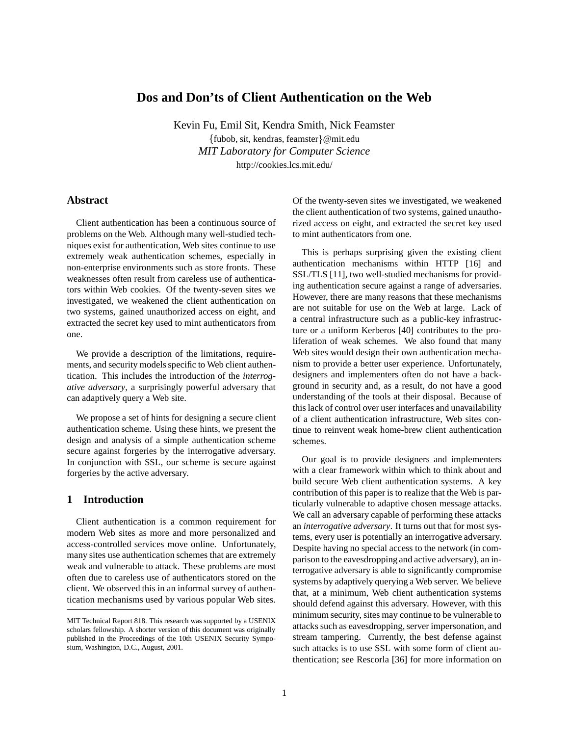# **Dos and Don'ts of Client Authentication on the Web**

Kevin Fu, Emil Sit, Kendra Smith, Nick Feamster fubob, sit, kendras, feamster @mit.edu *MIT Laboratory for Computer Science* http://cookies.lcs.mit.edu/

## **Abstract**

Client authentication has been a continuous source of problems on the Web. Although many well-studied techniques exist for authentication, Web sites continue to use extremely weak authentication schemes, especially in non-enterprise environments such as store fronts. These weaknesses often result from careless use of authenticators within Web cookies. Of the twenty-seven sites we investigated, we weakened the client authentication on two systems, gained unauthorized access on eight, and extracted the secret key used to mint authenticators from one.

We provide a description of the limitations, requirements, and security models specific to Web client authentication. This includes the introduction of the *interrogative adversary*, a surprisingly powerful adversary that can adaptively query a Web site.

We propose a set of hints for designing a secure client authentication scheme. Using these hints, we present the design and analysis of a simple authentication scheme secure against forgeries by the interrogative adversary. In conjunction with SSL, our scheme is secure against forgeries by the active adversary.

## **1 Introduction**

Client authentication is a common requirement for modern Web sites as more and more personalized and access-controlled services move online. Unfortunately, many sites use authentication schemes that are extremely weak and vulnerable to attack. These problems are most often due to careless use of authenticators stored on the client. We observed this in an informal survey of authentication mechanisms used by various popular Web sites. Of the twenty-seven sites we investigated, we weakened the client authentication of two systems, gained unauthorized access on eight, and extracted the secret key used to mint authenticators from one.

This is perhaps surprising given the existing client authentication mechanisms within HTTP [16] and SSL/TLS [11], two well-studied mechanisms for providing authentication secure against a range of adversaries. However, there are many reasons that these mechanisms are not suitable for use on the Web at large. Lack of a central infrastructure such as a public-key infrastructure or a uniform Kerberos [40] contributes to the proliferation of weak schemes. We also found that many Web sites would design their own authentication mechanism to provide a better user experience. Unfortunately, designers and implementers often do not have a background in security and, as a result, do not have a good understanding of the tools at their disposal. Because of this lack of control over user interfaces and unavailability of a client authentication infrastructure, Web sites continue to reinvent weak home-brew client authentication schemes.

Our goal is to provide designers and implementers with a clear framework within which to think about and build secure Web client authentication systems. A key contribution of this paper is to realize that the Web is particularly vulnerable to adaptive chosen message attacks. We call an adversary capable of performing these attacks an *interrogative adversary*. It turns out that for most systems, every user is potentially an interrogative adversary. Despite having no special access to the network (in comparison to the eavesdropping and active adversary), an interrogative adversary is able to significantly compromise systems by adaptively querying a Web server. We believe that, at a minimum, Web client authentication systems should defend against this adversary. However, with this minimum security, sites may continue to be vulnerable to attacks such as eavesdropping, server impersonation, and stream tampering. Currently, the best defense against such attacks is to use SSL with some form of client authentication; see Rescorla [36] for more information on

MIT Technical Report 818. This research was supported by a USENIX scholars fellowship. A shorter version of this document was originally published in the Proceedings of the 10th USENIX Security Symposium, Washington, D.C., August, 2001.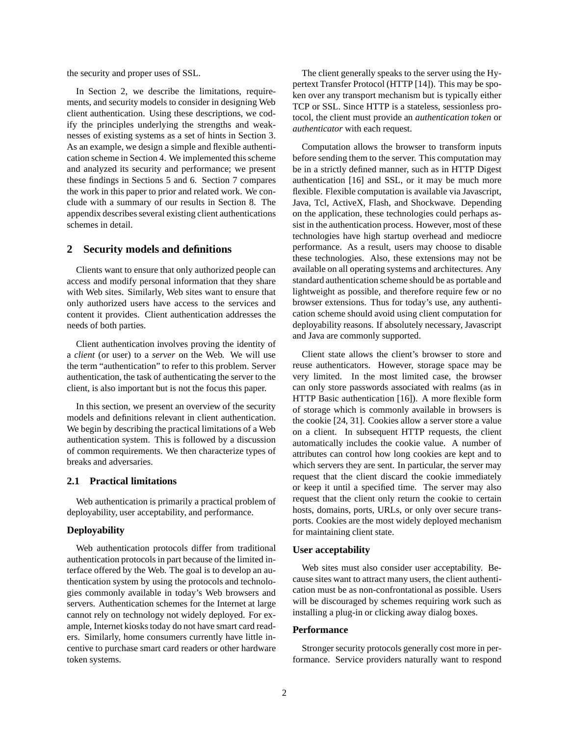the security and proper uses of SSL.

In Section 2, we describe the limitations, requirements, and security models to consider in designing Web client authentication. Using these descriptions, we codify the principles underlying the strengths and weaknesses of existing systems as a set of hints in Section 3. As an example, we design a simple and flexible authentication scheme in Section 4. We implemented this scheme and analyzed its security and performance; we present these findings in Sections 5 and 6. Section 7 compares the work in this paper to prior and related work. We conclude with a summary of our results in Section 8. The appendix describes several existing client authentications schemes in detail.

## **2 Security models and definitions**

Clients want to ensure that only authorized people can access and modify personal information that they share with Web sites. Similarly, Web sites want to ensure that only authorized users have access to the services and content it provides. Client authentication addresses the needs of both parties.

Client authentication involves proving the identity of a *client* (or user) to a *server* on the Web. We will use the term "authentication" to refer to this problem. Server authentication, the task of authenticating the server to the client, is also important but is not the focus this paper.

In this section, we present an overview of the security models and definitions relevant in client authentication. We begin by describing the practical limitations of a Web authentication system. This is followed by a discussion of common requirements. We then characterize types of breaks and adversaries.

#### **2.1 Practical limitations**

Web authentication is primarily a practical problem of deployability, user acceptability, and performance.

#### **Deployability**

Web authentication protocols differ from traditional authentication protocols in part because of the limited interface offered by the Web. The goal is to develop an authentication system by using the protocols and technologies commonly available in today's Web browsers and servers. Authentication schemes for the Internet at large cannot rely on technology not widely deployed. For example, Internet kiosks today do not have smart card readers. Similarly, home consumers currently have little incentive to purchase smart card readers or other hardware token systems.

The client generally speaks to the server using the Hypertext Transfer Protocol (HTTP [14]). This may be spoken over any transport mechanism but is typically either TCP or SSL. Since HTTP is a stateless, sessionless protocol, the client must provide an *authentication token* or *authenticator* with each request.

Computation allows the browser to transform inputs before sending them to the server. This computation may be in a strictly defined manner, such as in HTTP Digest authentication [16] and SSL, or it may be much more flexible. Flexible computation is available via Javascript, Java, Tcl, ActiveX, Flash, and Shockwave. Depending on the application, these technologies could perhaps assist in the authentication process. However, most of these technologies have high startup overhead and mediocre performance. As a result, users may choose to disable these technologies. Also, these extensions may not be available on all operating systems and architectures. Any standard authentication scheme should be as portable and lightweight as possible, and therefore require few or no browser extensions. Thus for today's use, any authentication scheme should avoid using client computation for deployability reasons. If absolutely necessary, Javascript and Java are commonly supported.

Client state allows the client's browser to store and reuse authenticators. However, storage space may be very limited. In the most limited case, the browser can only store passwords associated with realms (as in HTTP Basic authentication [16]). A more flexible form of storage which is commonly available in browsers is the cookie [24, 31]. Cookies allow a server store a value on a client. In subsequent HTTP requests, the client automatically includes the cookie value. A number of attributes can control how long cookies are kept and to which servers they are sent. In particular, the server may request that the client discard the cookie immediately or keep it until a specified time. The server may also request that the client only return the cookie to certain hosts, domains, ports, URLs, or only over secure transports. Cookies are the most widely deployed mechanism for maintaining client state.

#### **User acceptability**

Web sites must also consider user acceptability. Because sites want to attract many users, the client authentication must be as non-confrontational as possible. Users will be discouraged by schemes requiring work such as installing a plug-in or clicking away dialog boxes.

#### **Performance**

Stronger security protocols generally cost more in performance. Service providers naturally want to respond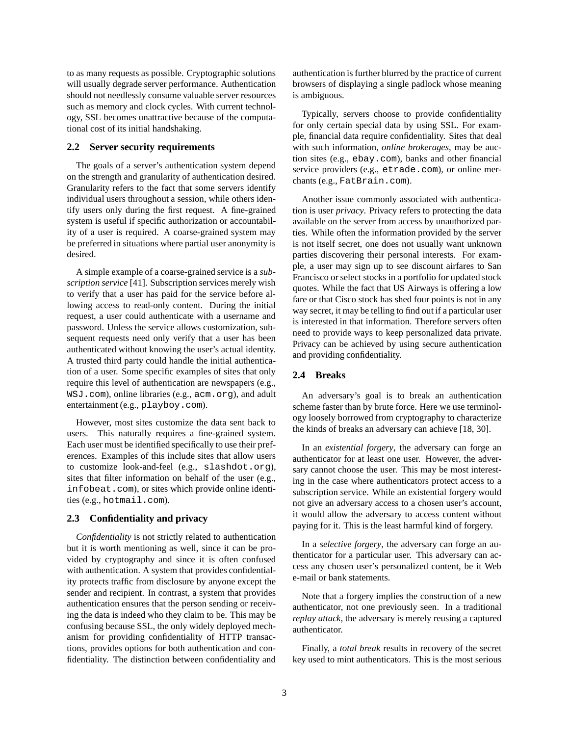to as many requests as possible. Cryptographic solutions will usually degrade server performance. Authentication should not needlessly consume valuable server resources such as memory and clock cycles. With current technology, SSL becomes unattractive because of the computational cost of its initial handshaking.

## **2.2 Server security requirements**

The goals of a server's authentication system depend on the strength and granularity of authentication desired. Granularity refers to the fact that some servers identify individual users throughout a session, while others identify users only during the first request. A fine-grained system is useful if specific authorization or accountability of a user is required. A coarse-grained system may be preferred in situations where partial user anonymity is desired.

A simple example of a coarse-grained service is a *subscription service* [41]. Subscription services merely wish to verify that a user has paid for the service before allowing access to read-only content. During the initial request, a user could authenticate with a username and password. Unless the service allows customization, subsequent requests need only verify that a user has been authenticated without knowing the user's actual identity. A trusted third party could handle the initial authentication of a user. Some specific examples of sites that only require this level of authentication are newspapers (e.g., WSJ.com), online libraries (e.g., acm.org), and adult entertainment (e.g., playboy.com).

However, most sites customize the data sent back to users. This naturally requires a fine-grained system. Each user must be identified specifically to use their preferences. Examples of this include sites that allow users to customize look-and-feel (e.g., slashdot.org), sites that filter information on behalf of the user (e.g., infobeat.com), or sites which provide online identities (e.g., hotmail.com).

#### **2.3 Confidentiality and privacy**

*Confidentiality* is not strictly related to authentication but it is worth mentioning as well, since it can be provided by cryptography and since it is often confused with authentication. A system that provides confidentiality protects traffic from disclosure by anyone except the sender and recipient. In contrast, a system that provides authentication ensures that the person sending or receiving the data is indeed who they claim to be. This may be confusing because SSL, the only widely deployed mechanism for providing confidentiality of HTTP transactions, provides options for both authentication and confidentiality. The distinction between confidentiality and authentication is further blurred by the practice of current browsers of displaying a single padlock whose meaning is ambiguous.

Typically, servers choose to provide confidentiality for only certain special data by using SSL. For example, financial data require confidentiality. Sites that deal with such information, *online brokerages*, may be auction sites (e.g., ebay.com), banks and other financial service providers (e.g., etrade.com), or online merchants (e.g., FatBrain.com).

Another issue commonly associated with authentication is user *privacy*. Privacy refers to protecting the data available on the server from access by unauthorized parties. While often the information provided by the server is not itself secret, one does not usually want unknown parties discovering their personal interests. For example, a user may sign up to see discount airfares to San Francisco or select stocks in a portfolio for updated stock quotes. While the fact that US Airways is offering a low fare or that Cisco stock has shed four points is not in any way secret, it may be telling to find out if a particular user is interested in that information. Therefore servers often need to provide ways to keep personalized data private. Privacy can be achieved by using secure authentication and providing confidentiality.

#### **2.4 Breaks**

An adversary's goal is to break an authentication scheme faster than by brute force. Here we use terminology loosely borrowed from cryptography to characterize the kinds of breaks an adversary can achieve [18, 30].

In an *existential forgery*, the adversary can forge an authenticator for at least one user. However, the adversary cannot choose the user. This may be most interesting in the case where authenticators protect access to a subscription service. While an existential forgery would not give an adversary access to a chosen user's account, it would allow the adversary to access content without paying for it. This is the least harmful kind of forgery.

In a *selective forgery*, the adversary can forge an authenticator for a particular user. This adversary can access any chosen user's personalized content, be it Web e-mail or bank statements.

Note that a forgery implies the construction of a new authenticator, not one previously seen. In a traditional *replay attack*, the adversary is merely reusing a captured authenticator.

Finally, a *total break* results in recovery of the secret key used to mint authenticators. This is the most serious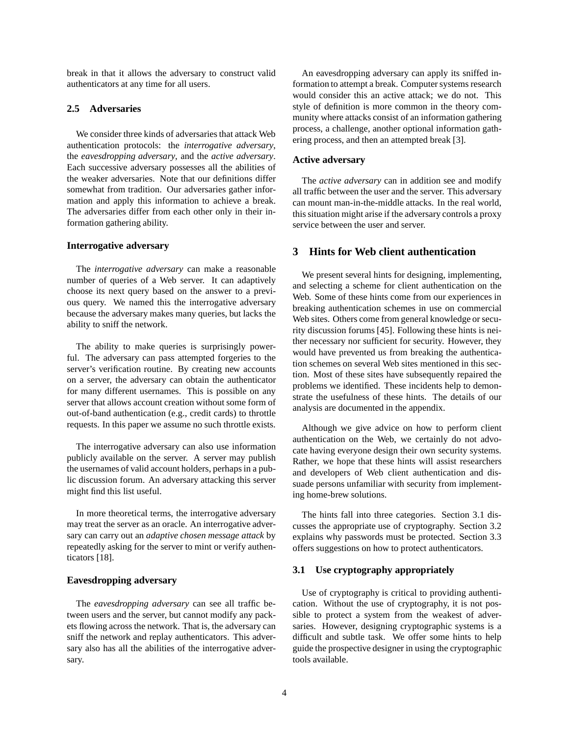break in that it allows the adversary to construct valid authenticators at any time for all users.

## **2.5 Adversaries**

We consider three kinds of adversaries that attack Web authentication protocols: the *interrogative adversary*, the *eavesdropping adversary*, and the *active adversary*. Each successive adversary possesses all the abilities of the weaker adversaries. Note that our definitions differ somewhat from tradition. Our adversaries gather information and apply this information to achieve a break. The adversaries differ from each other only in their information gathering ability.

#### **Interrogative adversary**

The *interrogative adversary* can make a reasonable number of queries of a Web server. It can adaptively choose its next query based on the answer to a previous query. We named this the interrogative adversary because the adversary makes many queries, but lacks the ability to sniff the network.

The ability to make queries is surprisingly powerful. The adversary can pass attempted forgeries to the server's verification routine. By creating new accounts on a server, the adversary can obtain the authenticator for many different usernames. This is possible on any server that allows account creation without some form of out-of-band authentication (e.g., credit cards) to throttle requests. In this paper we assume no such throttle exists.

The interrogative adversary can also use information publicly available on the server. A server may publish the usernames of valid account holders, perhaps in a public discussion forum. An adversary attacking this server might find this list useful.

In more theoretical terms, the interrogative adversary may treat the server as an oracle. An interrogative adversary can carry out an *adaptive chosen message attack* by repeatedly asking for the server to mint or verify authenticators [18].

#### **Eavesdropping adversary**

The *eavesdropping adversary* can see all traffic between users and the server, but cannot modify any packets flowing across the network. That is, the adversary can sniff the network and replay authenticators. This adversary also has all the abilities of the interrogative adversary.

An eavesdropping adversary can apply its sniffed information to attempt a break. Computer systems research would consider this an active attack; we do not. This style of definition is more common in the theory community where attacks consist of an information gathering process, a challenge, another optional information gathering process, and then an attempted break [3].

#### **Active adversary**

The *active adversary* can in addition see and modify all traffic between the user and the server. This adversary can mount man-in-the-middle attacks. In the real world, this situation might arise if the adversary controls a proxy service between the user and server.

## **3 Hints for Web client authentication**

We present several hints for designing, implementing, and selecting a scheme for client authentication on the Web. Some of these hints come from our experiences in breaking authentication schemes in use on commercial Web sites. Others come from general knowledge or security discussion forums [45]. Following these hints is neither necessary nor sufficient for security. However, they would have prevented us from breaking the authentication schemes on several Web sites mentioned in this section. Most of these sites have subsequently repaired the problems we identified. These incidents help to demonstrate the usefulness of these hints. The details of our analysis are documented in the appendix.

Although we give advice on how to perform client authentication on the Web, we certainly do not advocate having everyone design their own security systems. Rather, we hope that these hints will assist researchers and developers of Web client authentication and dissuade persons unfamiliar with security from implementing home-brew solutions.

The hints fall into three categories. Section 3.1 discusses the appropriate use of cryptography. Section 3.2 explains why passwords must be protected. Section 3.3 offers suggestions on how to protect authenticators.

#### **3.1 Use cryptography appropriately**

Use of cryptography is critical to providing authentication. Without the use of cryptography, it is not possible to protect a system from the weakest of adversaries. However, designing cryptographic systems is a difficult and subtle task. We offer some hints to help guide the prospective designer in using the cryptographic tools available.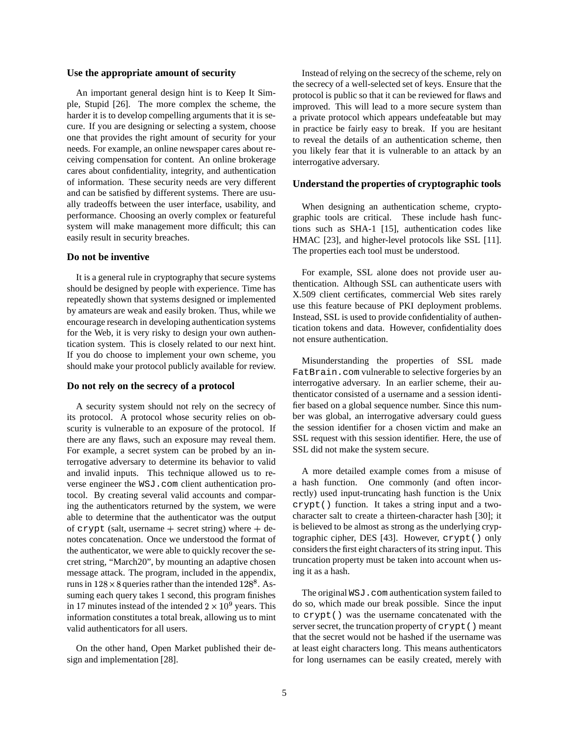#### **Use the appropriate amount of security**

An important general design hint is to Keep It Simple, Stupid [26]. The more complex the scheme, the harder it is to develop compelling arguments that it is secure. If you are designing or selecting a system, choose one that provides the right amount of security for your needs. For example, an online newspaper cares about receiving compensation for content. An online brokerage cares about confidentiality, integrity, and authentication of information. These security needs are very different and can be satisfied by different systems. There are usually tradeoffs between the user interface, usability, and performance. Choosing an overly complex or featureful system will make management more difficult; this can easily result in security breaches.

#### **Do not be inventive**

It is a general rule in cryptography that secure systems should be designed by people with experience. Time has repeatedly shown that systems designed or implemented by amateurs are weak and easily broken. Thus, while we encourage research in developing authentication systems for the Web, it is very risky to design your own authentication system. This is closely related to our next hint. If you do choose to implement your own scheme, you should make your protocol publicly available for review.

#### **Do not rely on the secrecy of a protocol**

A security system should not rely on the secrecy of its protocol. A protocol whose security relies on obscurity is vulnerable to an exposure of the protocol. If there are any flaws, such an exposure may reveal them. For example, a secret system can be probed by an interrogative adversary to determine its behavior to valid and invalid inputs. This technique allowed us to reverse engineer the WSJ.com client authentication protocol. By creating several valid accounts and comparing the authenticators returned by the system, we were able to determine that the authenticator was the output of crypt (salt, username  $+$  secret string) where  $+$  de-<br>is belief notes concatenation. Once we understood the format of the authenticator, we were able to quickly recover the secret string, "March20", by mounting an adaptive chosen message attack. The program, included in the appendix, runs in  $128 \times 8$  queries rather than the intended  $128^8$ . Assuming each query takes 1 second, this program finishes in 17 minutes instead of the intended  $2 \times 10^9$  years. This information constitutes a total break, allowing us to mint valid authenticators for all users.

On the other hand, Open Market published their design and implementation [28].

Instead of relying on the secrecy of the scheme, rely on the secrecy of a well-selected set of keys. Ensure that the protocol is public so that it can be reviewed for flaws and improved. This will lead to a more secure system than a private protocol which appears undefeatable but may in practice be fairly easy to break. If you are hesitant to reveal the details of an authentication scheme, then you likely fear that it is vulnerable to an attack by an interrogative adversary.

### **Understand the properties of cryptographic tools**

When designing an authentication scheme, cryptographic tools are critical. These include hash functions such as SHA-1 [15], authentication codes like HMAC [23], and higher-level protocols like SSL [11]. The properties each tool must be understood.

For example, SSL alone does not provide user authentication. Although SSL can authenticate users with X.509 client certificates, commercial Web sites rarely use this feature because of PKI deployment problems. Instead, SSL is used to provide confidentiality of authentication tokens and data. However, confidentiality does not ensure authentication.

Misunderstanding the properties of SSL made FatBrain.com vulnerable to selective forgeries by an interrogative adversary. In an earlier scheme, their authenticator consisted of a username and a session identifier based on a global sequence number. Since this number was global, an interrogative adversary could guess the session identifier for a chosen victim and make an SSL request with this session identifier. Here, the use of SSL did not make the system secure.

A more detailed example comes from a misuse of a hash function. One commonly (and often incorrectly) used input-truncating hash function is the Unix crypt() function. It takes a string input and a twocharacter salt to create a thirteen-character hash [30]; it is believed to be almost as strong as the underlying cryptographic cipher, DES [43]. However, crypt() only considers the first eight characters of its string input. This truncation property must be taken into account when using it as a hash.

The original WSJ.com authentication system failed to do so, which made our break possible. Since the input to crypt() was the username concatenated with the server secret, the truncation property of crypt () meant that the secret would not be hashed if the username was at least eight characters long. This means authenticators for long usernames can be easily created, merely with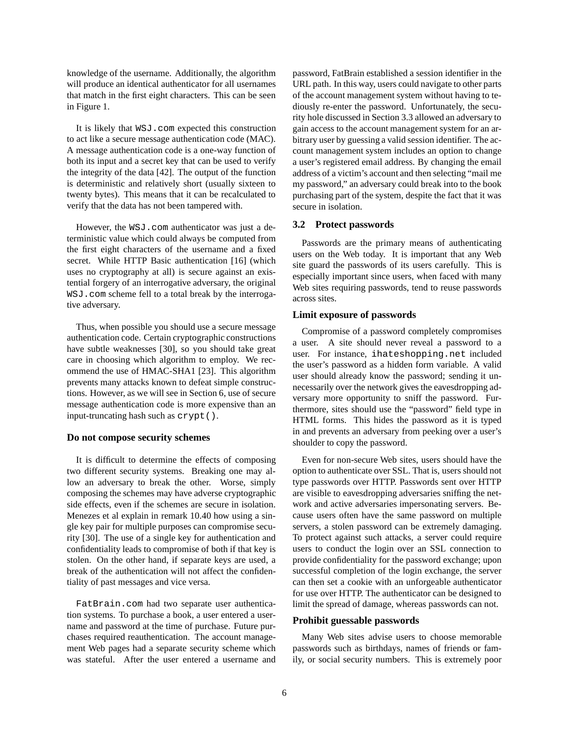knowledge of the username. Additionally, the algorithm will produce an identical authenticator for all usernames that match in the first eight characters. This can be seen in Figure 1.

It is likely that WSJ.com expected this construction to act like a secure message authentication code (MAC). A message authentication code is a one-way function of both its input and a secret key that can be used to verify the integrity of the data [42]. The output of the function is deterministic and relatively short (usually sixteen to twenty bytes). This means that it can be recalculated to verify that the data has not been tampered with.

However, the WSJ.com authenticator was just a deterministic value which could always be computed from the first eight characters of the username and a fixed secret. While HTTP Basic authentication [16] (which uses no cryptography at all) is secure against an existential forgery of an interrogative adversary, the original WSJ.com scheme fell to a total break by the interrogative adversary.

Thus, when possible you should use a secure message authentication code. Certain cryptographic constructions have subtle weaknesses [30], so you should take great care in choosing which algorithm to employ. We recommend the use of HMAC-SHA1 [23]. This algorithm prevents many attacks known to defeat simple constructions. However, as we will see in Section 6, use of secure message authentication code is more expensive than an input-truncating hash such as crypt().

#### **Do not compose security schemes**

It is difficult to determine the effects of composing two different security systems. Breaking one may allow an adversary to break the other. Worse, simply composing the schemes may have adverse cryptographic side effects, even if the schemes are secure in isolation. Menezes et al explain in remark 10.40 how using a single key pair for multiple purposes can compromise security [30]. The use of a single key for authentication and confidentiality leads to compromise of both if that key is stolen. On the other hand, if separate keys are used, a break of the authentication will not affect the confidentiality of past messages and vice versa.

FatBrain.com had two separate user authentication systems. To purchase a book, a user entered a username and password at the time of purchase. Future purchases required reauthentication. The account management Web pages had a separate security scheme which was stateful. After the user entered a username and password, FatBrain established a session identifier in the URL path. In this way, users could navigate to other parts of the account management system without having to tediously re-enter the password. Unfortunately, the security hole discussed in Section 3.3 allowed an adversary to gain access to the account management system for an arbitrary user by guessing a valid session identifier. The account management system includes an option to change a user's registered email address. By changing the email address of a victim's account and then selecting "mail me my password," an adversary could break into to the book purchasing part of the system, despite the fact that it was secure in isolation.

#### **3.2 Protect passwords**

Passwords are the primary means of authenticating users on the Web today. It is important that any Web site guard the passwords of its users carefully. This is especially important since users, when faced with many Web sites requiring passwords, tend to reuse passwords across sites.

#### **Limit exposure of passwords**

Compromise of a password completely compromises a user. A site should never reveal a password to a user. For instance, ihateshopping.net included the user's password as a hidden form variable. A valid user should already know the password; sending it unnecessarily over the network gives the eavesdropping adversary more opportunity to sniff the password. Furthermore, sites should use the "password" field type in HTML forms. This hides the password as it is typed in and prevents an adversary from peeking over a user's shoulder to copy the password.

Even for non-secure Web sites, users should have the option to authenticate over SSL. That is, users should not type passwords over HTTP. Passwords sent over HTTP are visible to eavesdropping adversaries sniffing the network and active adversaries impersonating servers. Because users often have the same password on multiple servers, a stolen password can be extremely damaging. To protect against such attacks, a server could require users to conduct the login over an SSL connection to provide confidentiality for the password exchange; upon successful completion of the login exchange, the server can then set a cookie with an unforgeable authenticator for use over HTTP. The authenticator can be designed to limit the spread of damage, whereas passwords can not.

#### **Prohibit guessable passwords**

Many Web sites advise users to choose memorable passwords such as birthdays, names of friends or family, or social security numbers. This is extremely poor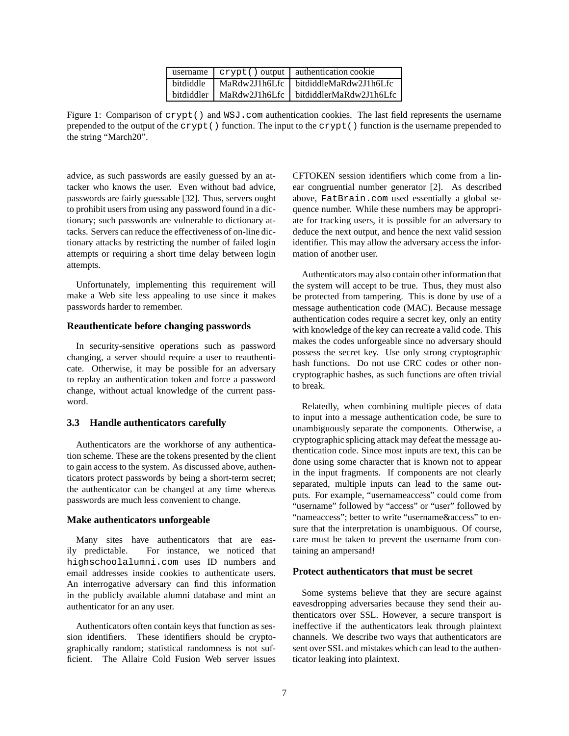|           | username $\vert$ crypt () output $\vert$ authentication cookie |
|-----------|----------------------------------------------------------------|
| bitdiddle | MaRdw2J1h6Lfc bitdiddleMaRdw2J1h6Lfc                           |
|           | bitdiddler   MaRdw2J1h6Lfc   bitdiddlerMaRdw2J1h6Lfc           |

Figure 1: Comparison of crypt() and WSJ.com authentication cookies. The last field represents the username prepended to the output of the crypt() function. The input to the crypt() function is the username prepended to the string "March20".

advice, as such passwords are easily guessed by an attacker who knows the user. Even without bad advice, passwords are fairly guessable [32]. Thus, servers ought to prohibit users from using any password found in a dictionary; such passwords are vulnerable to dictionary attacks. Servers can reduce the effectiveness of on-line dictionary attacks by restricting the number of failed login attempts or requiring a short time delay between login attempts.

Unfortunately, implementing this requirement will make a Web site less appealing to use since it makes passwords harder to remember.

### **Reauthenticate before changing passwords**

In security-sensitive operations such as password changing, a server should require a user to reauthenticate. Otherwise, it may be possible for an adversary to replay an authentication token and force a password change, without actual knowledge of the current password.

#### **3.3 Handle authenticators carefully**

Authenticators are the workhorse of any authentication scheme. These are the tokens presented by the client to gain access to the system. As discussed above, authenticators protect passwords by being a short-term secret; the authenticator can be changed at any time whereas passwords are much less convenient to change.

#### **Make authenticators unforgeable**

Many sites have authenticators that are easily predictable. For instance, we noticed that highschoolalumni.com uses ID numbers and email addresses inside cookies to authenticate users. An interrogative adversary can find this information in the publicly available alumni database and mint an authenticator for an any user.

Authenticators often contain keys that function as session identifiers. These identifiers should be cryptographically random; statistical randomness is not sufficient. The Allaire Cold Fusion Web server issues CFTOKEN session identifiers which come from a linear congruential number generator [2]. As described above, FatBrain.com used essentially a global sequence number. While these numbers may be appropriate for tracking users, it is possible for an adversary to deduce the next output, and hence the next valid session identifier. This may allow the adversary access the information of another user.

Authenticators may also contain other information that the system will accept to be true. Thus, they must also be protected from tampering. This is done by use of a message authentication code (MAC). Because message authentication codes require a secret key, only an entity with knowledge of the key can recreate a valid code. This makes the codes unforgeable since no adversary should possess the secret key. Use only strong cryptographic hash functions. Do not use CRC codes or other noncryptographic hashes, as such functions are often trivial to break.

Relatedly, when combining multiple pieces of data to input into a message authentication code, be sure to unambiguously separate the components. Otherwise, a cryptographic splicing attack may defeat the message authentication code. Since most inputs are text, this can be done using some character that is known not to appear in the input fragments. If components are not clearly separated, multiple inputs can lead to the same outputs. For example, "usernameaccess" could come from "username" followed by "access" or "user" followed by "nameaccess"; better to write "username&access" to ensure that the interpretation is unambiguous. Of course, care must be taken to prevent the username from containing an ampersand!

### **Protect authenticators that must be secret**

Some systems believe that they are secure against eavesdropping adversaries because they send their authenticators over SSL. However, a secure transport is ineffective if the authenticators leak through plaintext channels. We describe two ways that authenticators are sent over SSL and mistakes which can lead to the authenticator leaking into plaintext.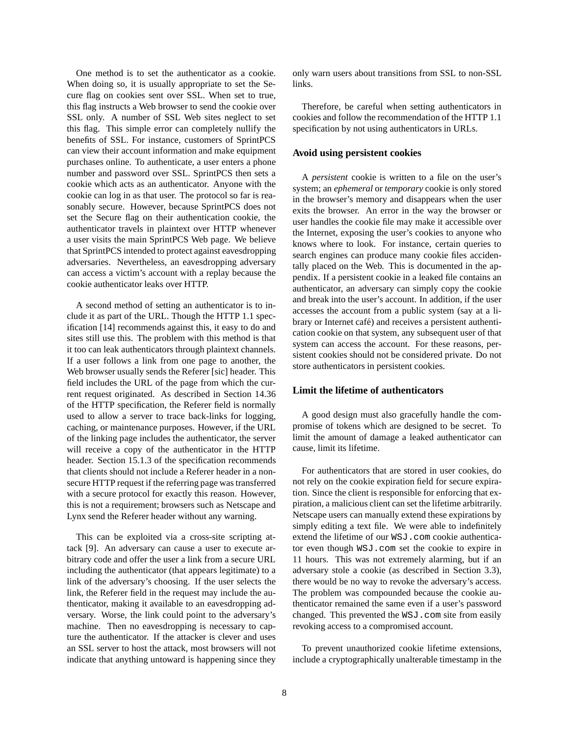One method is to set the authenticator as a cookie. When doing so, it is usually appropriate to set the Secure flag on cookies sent over SSL. When set to true, this flag instructs a Web browser to send the cookie over SSL only. A number of SSL Web sites neglect to set this flag. This simple error can completely nullify the benefits of SSL. For instance, customers of SprintPCS can view their account information and make equipment purchases online. To authenticate, a user enters a phone number and password over SSL. SprintPCS then sets a cookie which acts as an authenticator. Anyone with the cookie can log in as that user. The protocol so far is reasonably secure. However, because SprintPCS does not set the Secure flag on their authentication cookie, the authenticator travels in plaintext over HTTP whenever a user visits the main SprintPCS Web page. We believe that SprintPCS intended to protect against eavesdropping adversaries. Nevertheless, an eavesdropping adversary can access a victim's account with a replay because the cookie authenticator leaks over HTTP.

A second method of setting an authenticator is to include it as part of the URL. Though the HTTP 1.1 specification [14] recommends against this, it easy to do and sites still use this. The problem with this method is that it too can leak authenticators through plaintext channels. If a user follows a link from one page to another, the Web browser usually sends the Referer [sic] header. This field includes the URL of the page from which the current request originated. As described in Section 14.36 of the HTTP specification, the Referer field is normally used to allow a server to trace back-links for logging, caching, or maintenance purposes. However, if the URL of the linking page includes the authenticator, the server will receive a copy of the authenticator in the HTTP header. Section 15.1.3 of the specification recommends that clients should not include a Referer header in a nonsecure HTTP request if the referring page was transferred with a secure protocol for exactly this reason. However, this is not a requirement; browsers such as Netscape and Lynx send the Referer header without any warning.

This can be exploited via a cross-site scripting attack [9]. An adversary can cause a user to execute arbitrary code and offer the user a link from a secure URL including the authenticator (that appears legitimate) to a link of the adversary's choosing. If the user selects the link, the Referer field in the request may include the authenticator, making it available to an eavesdropping adversary. Worse, the link could point to the adversary's machine. Then no eavesdropping is necessary to capture the authenticator. If the attacker is clever and uses an SSL server to host the attack, most browsers will not indicate that anything untoward is happening since they only warn users about transitions from SSL to non-SSL links.

Therefore, be careful when setting authenticators in cookies and follow the recommendation of the HTTP 1.1 specification by not using authenticators in URLs.

## **Avoid using persistent cookies**

A *persistent* cookie is written to a file on the user's system; an *ephemeral* or *temporary* cookie is only stored in the browser's memory and disappears when the user exits the browser. An error in the way the browser or user handles the cookie file may make it accessible over the Internet, exposing the user's cookies to anyone who knows where to look. For instance, certain queries to search engines can produce many cookie files accidentally placed on the Web. This is documented in the appendix. If a persistent cookie in a leaked file contains an authenticator, an adversary can simply copy the cookie and break into the user's account. In addition, if the user accesses the account from a public system (say at a library or Internet café) and receives a persistent authentication cookie on that system, any subsequent user of that system can access the account. For these reasons, persistent cookies should not be considered private. Do not store authenticators in persistent cookies.

### **Limit the lifetime of authenticators**

A good design must also gracefully handle the compromise of tokens which are designed to be secret. To limit the amount of damage a leaked authenticator can cause, limit its lifetime.

For authenticators that are stored in user cookies, do not rely on the cookie expiration field for secure expiration. Since the client is responsible for enforcing that expiration, a malicious client can set the lifetime arbitrarily. Netscape users can manually extend these expirations by simply editing a text file. We were able to indefinitely extend the lifetime of our WSJ.com cookie authenticator even though WSJ.com set the cookie to expire in 11 hours. This was not extremely alarming, but if an adversary stole a cookie (as described in Section 3.3), there would be no way to revoke the adversary's access. The problem was compounded because the cookie authenticator remained the same even if a user's password changed. This prevented the WSJ.com site from easily revoking access to a compromised account.

To prevent unauthorized cookie lifetime extensions, include a cryptographically unalterable timestamp in the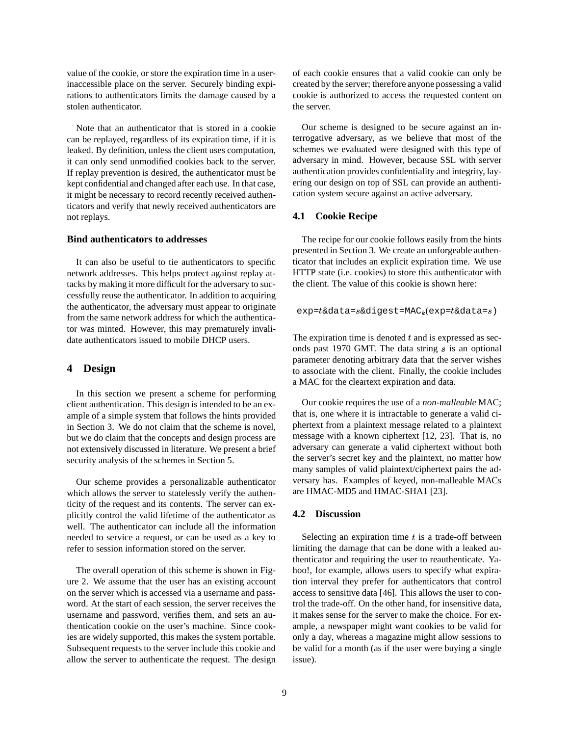value of the cookie, or store the expiration time in a userinaccessible place on the server. Securely binding expirations to authenticators limits the damage caused by a stolen authenticator.

Note that an authenticator that is stored in a cookie can be replayed, regardless of its expiration time, if it is leaked. By definition, unless the client uses computation, it can only send unmodified cookies back to the server. If replay prevention is desired, the authenticator must be kept confidential and changed after each use. In that case, it might be necessary to record recently received authenticators and verify that newly received authenticators are not replays.

### **Bind authenticators to addresses**

It can also be useful to tie authenticators to specific network addresses. This helps protect against replay attacks by making it more difficult for the adversary to successfully reuse the authenticator. In addition to acquiring the authenticator, the adversary must appear to originate from the same network address for which the authenticator was minted. However, this may prematurely invalidate authenticators issued to mobile DHCP users.

#### **4 Design**

In this section we present a scheme for performing client authentication. This design is intended to be an example of a simple system that follows the hints provided in Section 3. We do not claim that the scheme is novel, but we do claim that the concepts and design process are not extensively discussed in literature. We present a brief security analysis of the schemes in Section 5.

Our scheme provides a personalizable authenticator which allows the server to statelessly verify the authenticity of the request and its contents. The server can explicitly control the valid lifetime of the authenticator as well. The authenticator can include all the information needed to service a request, or can be used as a key to refer to session information stored on the server.

The overall operation of this scheme is shown in Figure 2. We assume that the user has an existing account on the server which is accessed via a username and password. At the start of each session, the server receives the username and password, verifies them, and sets an authentication cookie on the user's machine. Since cookies are widely supported, this makes the system portable. Subsequent requests to the server include this cookie and allow the server to authenticate the request. The design of each cookie ensures that a valid cookie can only be created by the server; therefore anyone possessing a valid cookie is authorized to access the requested content on the server.

Our scheme is designed to be secure against an interrogative adversary, as we believe that most of the schemes we evaluated were designed with this type of adversary in mind. However, because SSL with server authentication provides confidentiality and integrity, layering our design on top of SSL can provide an authentication system secure against an active adversary.

#### **4.1 Cookie Recipe**

The recipe for our cookie follows easily from the hints presented in Section 3. We create an unforgeable authenticator that includes an explicit expiration time. We use HTTP state (i.e. cookies) to store this authenticator with the client. The value of this cookie is shown here:

```
exp=t\&data=s\&digest=MAC_{k}(exp=t\&data=s)
```
The expiration time is denoted  $t$  and is expressed as seconds past 1970 GMT. The data string  $s$  is an optional parameter denoting arbitrary data that the server wishes to associate with the client. Finally, the cookie includes a MAC for the cleartext expiration and data.

Our cookie requires the use of a *non-malleable* MAC; that is, one where it is intractable to generate a valid ciphertext from a plaintext message related to a plaintext message with a known ciphertext [12, 23]. That is, no adversary can generate a valid ciphertext without both the server's secret key and the plaintext, no matter how many samples of valid plaintext/ciphertext pairs the adversary has. Examples of keyed, non-malleable MACs are HMAC-MD5 and HMAC-SHA1 [23].

## **4.2 Discussion**

Selecting an expiration time  $t$  is a trade-off between limiting the damage that can be done with a leaked authenticator and requiring the user to reauthenticate. Yahoo!, for example, allows users to specify what expiration interval they prefer for authenticators that control access to sensitive data [46]. This allows the user to control the trade-off. On the other hand, for insensitive data, it makes sense for the server to make the choice. For example, a newspaper might want cookies to be valid for only a day, whereas a magazine might allow sessions to be valid for a month (as if the user were buying a single issue).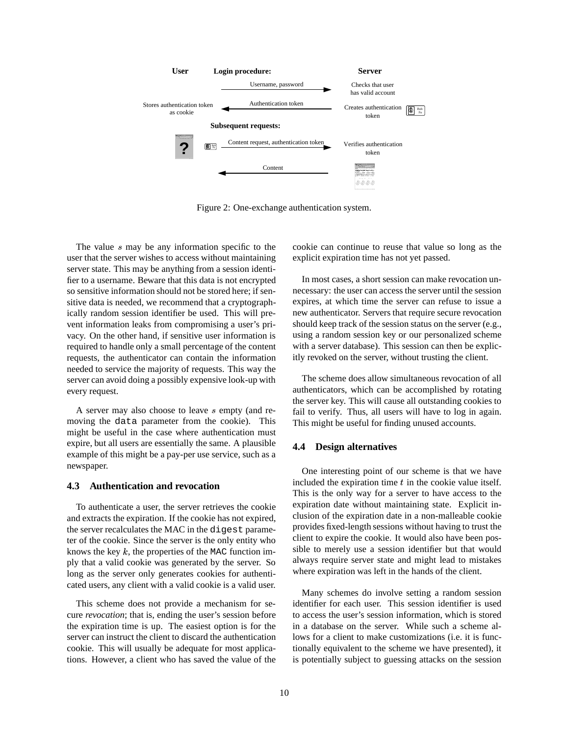

Figure 2: One-exchange authentication system.

The value  $s$  may be any information specific to the user that the server wishes to access without maintaining server state. This may be anything from a session identifier to a username. Beware that this data is not encrypted so sensitive information should not be stored here; if sensitive data is needed, we recommend that a cryptographically random session identifier be used. This will prevent information leaks from compromising a user's privacy. On the other hand, if sensitive user information is required to handle only a small percentage of the content requests, the authenticator can contain the information needed to service the majority of requests. This way the server can avoid doing a possibly expensive look-up with every request.

A server may also choose to leave s empty (and removing the data parameter from the cookie). This might be useful in the case where authentication must expire, but all users are essentially the same. A plausible example of this might be a pay-per use service, such as a newspaper.

#### **4.3 Authentication and revocation**

To authenticate a user, the server retrieves the cookie and extracts the expiration. If the cookie has not expired, the server recalculates the MAC in the digest parameter of the cookie. Since the server is the only entity who knows the key  $k$ , the properties of the MAC function imply that a valid cookie was generated by the server. So long as the server only generates cookies for authenticated users, any client with a valid cookie is a valid user.

This scheme does not provide a mechanism for secure *revocation*; that is, ending the user's session before the expiration time is up. The easiest option is for the server can instruct the client to discard the authentication cookie. This will usually be adequate for most applications. However, a client who has saved the value of the cookie can continue to reuse that value so long as the explicit expiration time has not yet passed.

In most cases, a short session can make revocation unnecessary: the user can access the server until the session expires, at which time the server can refuse to issue a new authenticator. Servers that require secure revocation should keep track of the session status on the server (e.g., using a random session key or our personalized scheme with a server database). This session can then be explicitly revoked on the server, without trusting the client.

The scheme does allow simultaneous revocation of all authenticators, which can be accomplished by rotating the server key. This will cause all outstanding cookies to fail to verify. Thus, all users will have to log in again. This might be useful for finding unused accounts.

#### **4.4 Design alternatives**

One interesting point of our scheme is that we have included the expiration time  $t$  in the cookie value itself. This is the only way for a server to have access to the expiration date without maintaining state. Explicit inclusion of the expiration date in a non-malleable cookie provides fixed-length sessions without having to trust the client to expire the cookie. It would also have been possible to merely use a session identifier but that would always require server state and might lead to mistakes where expiration was left in the hands of the client.

Many schemes do involve setting a random session identifier for each user. This session identifier is used to access the user's session information, which is stored in a database on the server. While such a scheme allows for a client to make customizations (i.e. it is functionally equivalent to the scheme we have presented), it is potentially subject to guessing attacks on the session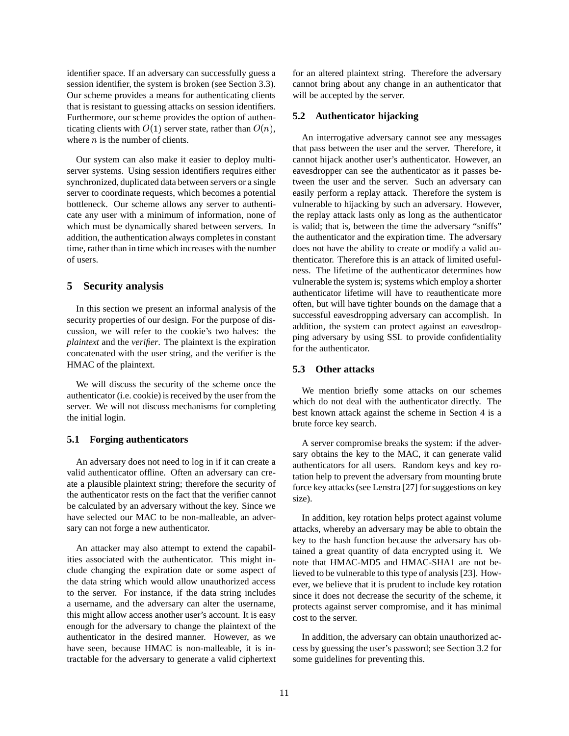identifier space. If an adversary can successfully guess a session identifier, the system is broken (see Section 3.3). Our scheme provides a means for authenticating clients that is resistant to guessing attacks on session identifiers. Furthermore, our scheme provides the option of authenticating clients with  $O(1)$  server state, rather than  $O(n)$ , where  $n$  is the number of clients.

Our system can also make it easier to deploy multiserver systems. Using session identifiers requires either synchronized, duplicated data between servers or a single server to coordinate requests, which becomes a potential bottleneck. Our scheme allows any server to authenticate any user with a minimum of information, none of which must be dynamically shared between servers. In addition, the authentication always completes in constant time, rather than in time which increases with the number of users.

### **5 Security analysis**

In this section we present an informal analysis of the security properties of our design. For the purpose of discussion, we will refer to the cookie's two halves: the *plaintext* and the *verifier*. The plaintext is the expiration concatenated with the user string, and the verifier is the HMAC of the plaintext.

We will discuss the security of the scheme once the authenticator (i.e. cookie) is received by the user from the server. We will not discuss mechanisms for completing the initial login.

## **5.1 Forging authenticators**

An adversary does not need to log in if it can create a valid authenticator offline. Often an adversary can create a plausible plaintext string; therefore the security of the authenticator rests on the fact that the verifier cannot be calculated by an adversary without the key. Since we have selected our MAC to be non-malleable, an adversary can not forge a new authenticator.

An attacker may also attempt to extend the capabilities associated with the authenticator. This might include changing the expiration date or some aspect of the data string which would allow unauthorized access to the server. For instance, if the data string includes a username, and the adversary can alter the username, this might allow access another user's account. It is easy enough for the adversary to change the plaintext of the authenticator in the desired manner. However, as we have seen, because HMAC is non-malleable, it is intractable for the adversary to generate a valid ciphertext for an altered plaintext string. Therefore the adversary cannot bring about any change in an authenticator that will be accepted by the server.

#### **5.2 Authenticator hijacking**

An interrogative adversary cannot see any messages that pass between the user and the server. Therefore, it cannot hijack another user's authenticator. However, an eavesdropper can see the authenticator as it passes between the user and the server. Such an adversary can easily perform a replay attack. Therefore the system is vulnerable to hijacking by such an adversary. However, the replay attack lasts only as long as the authenticator is valid; that is, between the time the adversary "sniffs" the authenticator and the expiration time. The adversary does not have the ability to create or modify a valid authenticator. Therefore this is an attack of limited usefulness. The lifetime of the authenticator determines how vulnerable the system is; systems which employ a shorter authenticator lifetime will have to reauthenticate more often, but will have tighter bounds on the damage that a successful eavesdropping adversary can accomplish. In addition, the system can protect against an eavesdropping adversary by using SSL to provide confidentiality for the authenticator.

#### **5.3 Other attacks**

We mention briefly some attacks on our schemes which do not deal with the authenticator directly. The best known attack against the scheme in Section 4 is a brute force key search.

A server compromise breaks the system: if the adversary obtains the key to the MAC, it can generate valid authenticators for all users. Random keys and key rotation help to prevent the adversary from mounting brute force key attacks (see Lenstra [27] for suggestions on key size).

In addition, key rotation helps protect against volume attacks, whereby an adversary may be able to obtain the key to the hash function because the adversary has obtained a great quantity of data encrypted using it. We note that HMAC-MD5 and HMAC-SHA1 are not believed to be vulnerable to this type of analysis [23]. However, we believe that it is prudent to include key rotation since it does not decrease the security of the scheme, it protects against server compromise, and it has minimal cost to the server.

In addition, the adversary can obtain unauthorized access by guessing the user's password; see Section 3.2 for some guidelines for preventing this.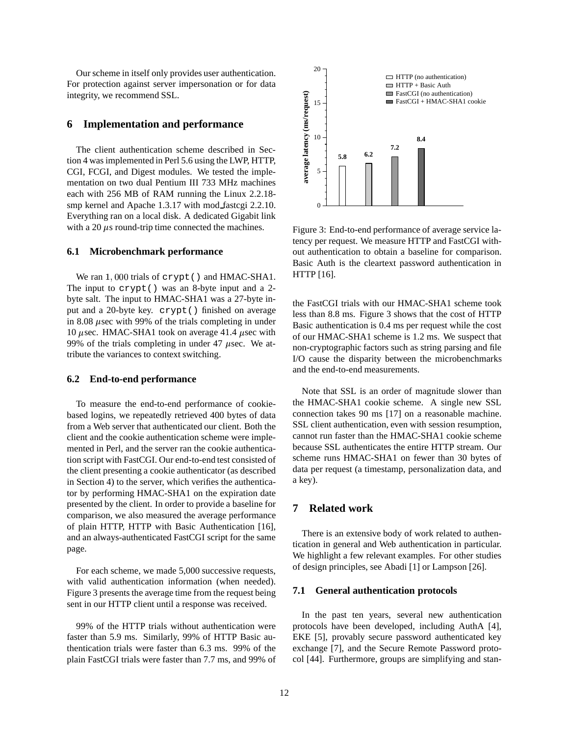Our scheme in itself only provides user authentication. For protection against server impersonation or for data integrity, we recommend SSL.

## **6 Implementation and performance**

The client authentication scheme described in Section 4 was implemented in Perl 5.6 using the LWP, HTTP, CGI, FCGI, and Digest modules. We tested the implementation on two dual Pentium III 733 MHz machines each with 256 MB of RAM running the Linux 2.2.18 smp kernel and Apache 1.3.17 with mod fastcgi 2.2.10. Everything ran on a local disk. A dedicated Gigabit link with a 20  $\mu$ s round-trip time connected the machines.

#### **6.1 Microbenchmark performance**

We ran  $1,000$  trials of crypt () and HMAC-SHA1. The input to crypt() was an 8-byte input and a 2 byte salt. The input to HMAC-SHA1 was a 27-byte input and a 20-byte key. crypt() finished on average in 8.08  $\mu$ sec with 99% of the trials completing in under 10  $\mu$ sec. HMAC-SHA1 took on average 41.4  $\mu$ sec with 99% of the trials completing in under 47  $\mu$ sec. We attribute the variances to context switching.

#### **6.2 End-to-end performance**

To measure the end-to-end performance of cookiebased logins, we repeatedly retrieved 400 bytes of data from a Web server that authenticated our client. Both the client and the cookie authentication scheme were implemented in Perl, and the server ran the cookie authentication script with FastCGI. Our end-to-end test consisted of the client presenting a cookie authenticator (as described in Section 4) to the server, which verifies the authenticator by performing HMAC-SHA1 on the expiration date presented by the client. In order to provide a baseline for comparison, we also measured the average performance of plain HTTP, HTTP with Basic Authentication [16], and an always-authenticated FastCGI script for the same page.

For each scheme, we made 5,000 successive requests, with valid authentication information (when needed). Figure 3 presents the average time from the request being sent in our HTTP client until a response was received.

99% of the HTTP trials without authentication were faster than 5.9 ms. Similarly, 99% of HTTP Basic authentication trials were faster than 6.3 ms. 99% of the plain FastCGI trials were faster than 7.7 ms, and 99% of



Figure 3: End-to-end performance of average service latency per request. We measure HTTP and FastCGI without authentication to obtain a baseline for comparison. Basic Auth is the cleartext password authentication in HTTP [16].

the FastCGI trials with our HMAC-SHA1 scheme took less than 8.8 ms. Figure 3 shows that the cost of HTTP Basic authentication is 0.4 ms per request while the cost of our HMAC-SHA1 scheme is 1.2 ms. We suspect that non-cryptographic factors such as string parsing and file I/O cause the disparity between the microbenchmarks and the end-to-end measurements.

Note that SSL is an order of magnitude slower than the HMAC-SHA1 cookie scheme. A single new SSL connection takes 90 ms [17] on a reasonable machine. SSL client authentication, even with session resumption, cannot run faster than the HMAC-SHA1 cookie scheme because SSL authenticates the entire HTTP stream. Our scheme runs HMAC-SHA1 on fewer than 30 bytes of data per request (a timestamp, personalization data, and a key).

## **7 Related work**

There is an extensive body of work related to authentication in general and Web authentication in particular. We highlight a few relevant examples. For other studies of design principles, see Abadi [1] or Lampson [26].

#### **7.1 General authentication protocols**

In the past ten years, several new authentication protocols have been developed, including AuthA [4], EKE [5], provably secure password authenticated key exchange [7], and the Secure Remote Password protocol [44]. Furthermore, groups are simplifying and stan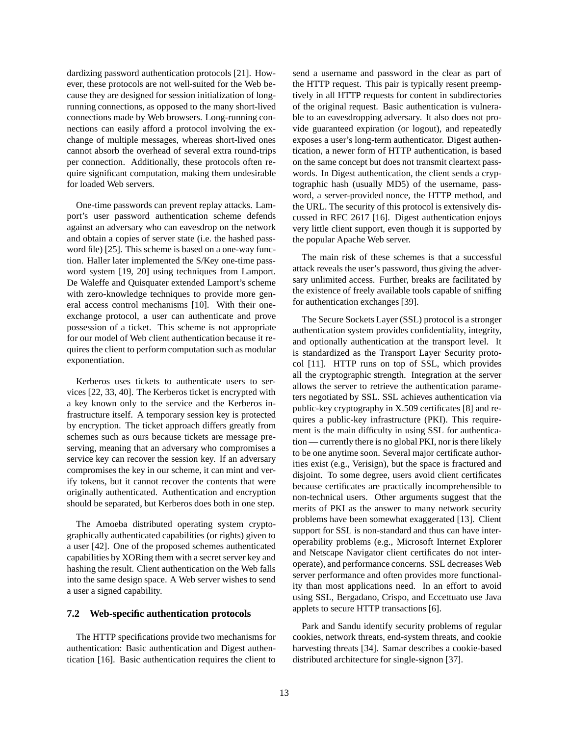dardizing password authentication protocols [21]. However, these protocols are not well-suited for the Web because they are designed for session initialization of longrunning connections, as opposed to the many short-lived connections made by Web browsers. Long-running connections can easily afford a protocol involving the exchange of multiple messages, whereas short-lived ones cannot absorb the overhead of several extra round-trips per connection. Additionally, these protocols often require significant computation, making them undesirable for loaded Web servers.

One-time passwords can prevent replay attacks. Lamport's user password authentication scheme defends against an adversary who can eavesdrop on the network and obtain a copies of server state (i.e. the hashed password file) [25]. This scheme is based on a one-way function. Haller later implemented the S/Key one-time password system [19, 20] using techniques from Lamport. De Waleffe and Quisquater extended Lamport's scheme with zero-knowledge techniques to provide more general access control mechanisms [10]. With their oneexchange protocol, a user can authenticate and prove possession of a ticket. This scheme is not appropriate for our model of Web client authentication because it requires the client to perform computation such as modular exponentiation.

Kerberos uses tickets to authenticate users to services [22, 33, 40]. The Kerberos ticket is encrypted with a key known only to the service and the Kerberos infrastructure itself. A temporary session key is protected by encryption. The ticket approach differs greatly from schemes such as ours because tickets are message preserving, meaning that an adversary who compromises a service key can recover the session key. If an adversary compromises the key in our scheme, it can mint and verify tokens, but it cannot recover the contents that were originally authenticated. Authentication and encryption should be separated, but Kerberos does both in one step.

The Amoeba distributed operating system cryptographically authenticated capabilities (or rights) given to a user [42]. One of the proposed schemes authenticated capabilities by XORing them with a secret server key and hashing the result. Client authentication on the Web falls into the same design space. A Web server wishes to send a user a signed capability.

#### **7.2 Web-specific authentication protocols**

The HTTP specifications provide two mechanisms for authentication: Basic authentication and Digest authentication [16]. Basic authentication requires the client to send a username and password in the clear as part of the HTTP request. This pair is typically resent preemptively in all HTTP requests for content in subdirectories of the original request. Basic authentication is vulnerable to an eavesdropping adversary. It also does not provide guaranteed expiration (or logout), and repeatedly exposes a user's long-term authenticator. Digest authentication, a newer form of HTTP authentication, is based on the same concept but does not transmit cleartext passwords. In Digest authentication, the client sends a cryptographic hash (usually MD5) of the username, password, a server-provided nonce, the HTTP method, and the URL. The security of this protocol is extensively discussed in RFC 2617 [16]. Digest authentication enjoys very little client support, even though it is supported by the popular Apache Web server.

The main risk of these schemes is that a successful attack reveals the user's password, thus giving the adversary unlimited access. Further, breaks are facilitated by the existence of freely available tools capable of sniffing for authentication exchanges [39].

The Secure Sockets Layer (SSL) protocol is a stronger authentication system provides confidentiality, integrity, and optionally authentication at the transport level. It is standardized as the Transport Layer Security protocol [11]. HTTP runs on top of SSL, which provides all the cryptographic strength. Integration at the server allows the server to retrieve the authentication parameters negotiated by SSL. SSL achieves authentication via public-key cryptography in X.509 certificates [8] and requires a public-key infrastructure (PKI). This requirement is the main difficulty in using SSL for authentication — currently there is no global PKI, nor is there likely to be one anytime soon. Several major certificate authorities exist (e.g., Verisign), but the space is fractured and disjoint. To some degree, users avoid client certificates because certificates are practically incomprehensible to non-technical users. Other arguments suggest that the merits of PKI as the answer to many network security problems have been somewhat exaggerated [13]. Client support for SSL is non-standard and thus can have interoperability problems (e.g., Microsoft Internet Explorer and Netscape Navigator client certificates do not interoperate), and performance concerns. SSL decreases Web server performance and often provides more functionality than most applications need. In an effort to avoid using SSL, Bergadano, Crispo, and Eccettuato use Java applets to secure HTTP transactions [6].

Park and Sandu identify security problems of regular cookies, network threats, end-system threats, and cookie harvesting threats [34]. Samar describes a cookie-based distributed architecture for single-signon [37].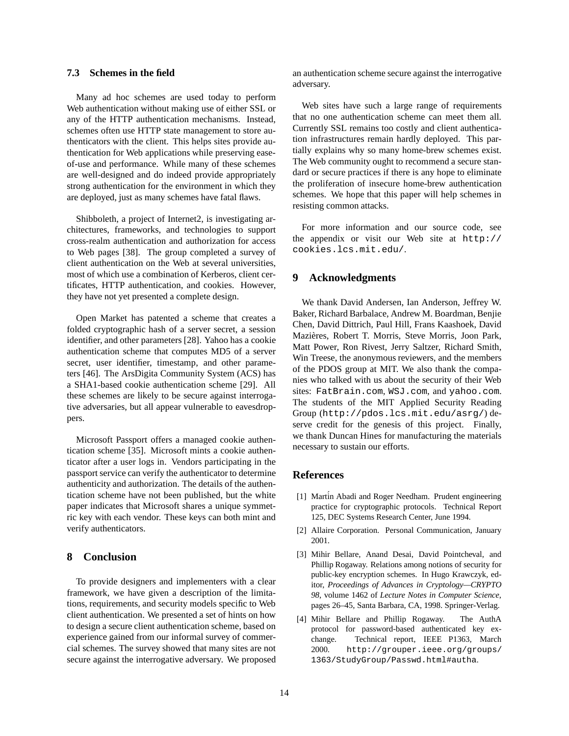## **7.3 Schemes in the field**

Many ad hoc schemes are used today to perform Web authentication without making use of either SSL or any of the HTTP authentication mechanisms. Instead, schemes often use HTTP state management to store authenticators with the client. This helps sites provide authentication for Web applications while preserving easeof-use and performance. While many of these schemes are well-designed and do indeed provide appropriately strong authentication for the environment in which they are deployed, just as many schemes have fatal flaws.

Shibboleth, a project of Internet2, is investigating architectures, frameworks, and technologies to support cross-realm authentication and authorization for access to Web pages [38]. The group completed a survey of client authentication on the Web at several universities, most of which use a combination of Kerberos, client certificates, HTTP authentication, and cookies. However, they have not yet presented a complete design.

Open Market has patented a scheme that creates a folded cryptographic hash of a server secret, a session identifier, and other parameters [28]. Yahoo has a cookie authentication scheme that computes MD5 of a server secret, user identifier, timestamp, and other parameters [46]. The ArsDigita Community System (ACS) has a SHA1-based cookie authentication scheme [29]. All these schemes are likely to be secure against interrogative adversaries, but all appear vulnerable to eavesdroppers.

Microsoft Passport offers a managed cookie authentication scheme [35]. Microsoft mints a cookie authenticator after a user logs in. Vendors participating in the passport service can verify the authenticator to determine authenticity and authorization. The details of the authentication scheme have not been published, but the white paper indicates that Microsoft shares a unique symmetric key with each vendor. These keys can both mint and verify authenticators.

## **8 Conclusion**

To provide designers and implementers with a clear framework, we have given a description of the limitations, requirements, and security models specific to Web client authentication. We presented a set of hints on how to design a secure client authentication scheme, based on experience gained from our informal survey of commercial schemes. The survey showed that many sites are not secure against the interrogative adversary. We proposed an authentication scheme secure against the interrogative adversary.

Web sites have such a large range of requirements that no one authentication scheme can meet them all. Currently SSL remains too costly and client authentication infrastructures remain hardly deployed. This partially explains why so many home-brew schemes exist. The Web community ought to recommend a secure standard or secure practices if there is any hope to eliminate the proliferation of insecure home-brew authentication schemes. We hope that this paper will help schemes in resisting common attacks.

For more information and our source code, see the appendix or visit our Web site at http:// cookies.lcs.mit.edu/.

### **9 Acknowledgments**

We thank David Andersen, Ian Anderson, Jeffrey W. Baker, Richard Barbalace, Andrew M. Boardman, Benjie Chen, David Dittrich, Paul Hill, Frans Kaashoek, David Mazières, Robert T. Morris, Steve Morris, Joon Park, Matt Power, Ron Rivest, Jerry Saltzer, Richard Smith, Win Treese, the anonymous reviewers, and the members of the PDOS group at MIT. We also thank the companies who talked with us about the security of their Web sites: FatBrain.com, WSJ.com, and yahoo.com. The students of the MIT Applied Security Reading Group (http://pdos.lcs.mit.edu/asrg/) deserve credit for the genesis of this project. Finally, we thank Duncan Hines for manufacturing the materials necessary to sustain our efforts.

#### **References**

- [1] Martin Abadi and Roger Needham. Prudent engineering practice for cryptographic protocols. Technical Report 125, DEC Systems Research Center, June 1994.
- [2] Allaire Corporation. Personal Communication, January 2001.
- [3] Mihir Bellare, Anand Desai, David Pointcheval, and Phillip Rogaway. Relations among notions of security for public-key encryption schemes. In Hugo Krawczyk, editor, *Proceedings of Advances in Cryptology—CRYPTO 98*, volume 1462 of *Lecture Notes in Computer Science*, pages 26–45, Santa Barbara, CA, 1998. Springer-Verlag.
- [4] Mihir Bellare and Phillip Rogaway. The AuthA protocol for password-based authenticated key exchange. Technical report, IEEE P1363, March 2000. http://grouper.ieee.org/groups/ 1363/StudyGroup/Passwd.html#autha.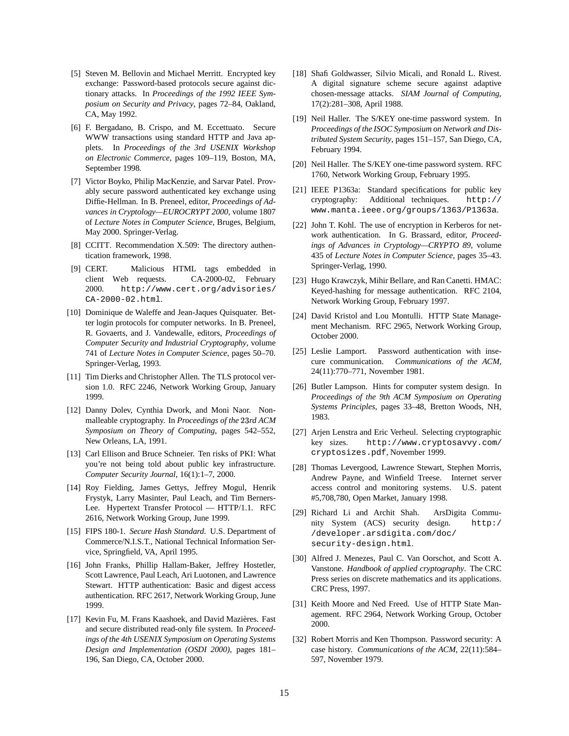- [5] Steven M. Bellovin and Michael Merritt. Encrypted key exchange: Password-based protocols secure against dictionary attacks. In *Proceedings of the 1992 IEEE Symposium on Security and Privacy*, pages 72–84, Oakland, CA, May 1992.
- [6] F. Bergadano, B. Crispo, and M. Eccettuato. Secure WWW transactions using standard HTTP and Java applets. In *Proceedings of the 3rd USENIX Workshop on Electronic Commerce*, pages 109–119, Boston, MA, September 1998.
- [7] Victor Boyko, Philip MacKenzie, and Sarvar Patel. Provably secure password authenticated key exchange using Diffie-Hellman. In B. Preneel, editor, *Proceedings of Advances in Cryptology—EUROCRYPT 2000*, volume 1807 of *Lecture Notes in Computer Science*, Bruges, Belgium, May 2000. Springer-Verlag.
- [8] CCITT. Recommendation X.509: The directory authentication framework, 1998.
- [9] CERT. Malicious HTML tags embedded in client Web requests. CA-2000-02, February 2000. http://www.cert.org/advisories/ CA-2000-02.html.
- [10] Dominique de Waleffe and Jean-Jaques Quisquater. Better login protocols for computer networks. In B. Preneel, R. Govaerts, and J. Vandewalle, editors, *Proceedings of Computer Security and Industrial Cryptography*, volume 741 of *Lecture Notes in Computer Science*, pages 50–70. Springer-Verlag, 1993.
- [11] Tim Dierks and Christopher Allen. The TLS protocol version 1.0. RFC 2246, Network Working Group, January 1999.
- [12] Danny Dolev, Cynthia Dwork, and Moni Naor. Nonmalleable cryptography. In *Proceedings of the* 23rd ACM *Symposium on Theory of Computing*, pages 542–552, New Orleans, LA, 1991.
- [13] Carl Ellison and Bruce Schneier. Ten risks of PKI: What you're not being told about public key infrastructure. *Computer Security Journal*, 16(1):1–7, 2000.
- [14] Roy Fielding, James Gettys, Jeffrey Mogul, Henrik Frystyk, Larry Masinter, Paul Leach, and Tim Berners-Lee. Hypertext Transfer Protocol — HTTP/1.1. RFC 2616, Network Working Group, June 1999.
- [15] FIPS 180-1. *Secure Hash Standard*. U.S. Department of Commerce/N.I.S.T., National Technical Information Service, Springfield, VA, April 1995.
- [16] John Franks, Phillip Hallam-Baker, Jeffrey Hostetler, Scott Lawrence, Paul Leach, Ari Luotonen, and Lawrence Stewart. HTTP authentication: Basic and digest access authentication. RFC 2617, Network Working Group, June 1999.
- [17] Kevin Fu, M. Frans Kaashoek, and David Mazières. Fast and secure distributed read-only file system. In *Proceedings of the 4th USENIX Symposium on Operating Systems Design and Implementation (OSDI 2000)*, pages 181– 196, San Diego, CA, October 2000.
- [18] Shafi Goldwasser, Silvio Micali, and Ronald L. Rivest. A digital signature scheme secure against adaptive chosen-message attacks. *SIAM Journal of Computing*, 17(2):281–308, April 1988.
- [19] Neil Haller. The S/KEY one-time password system. In *Proceedings of the ISOC Symposium on Network and Distributed System Security*, pages 151–157, San Diego, CA, February 1994.
- [20] Neil Haller. The S/KEY one-time password system. RFC 1760, Network Working Group, February 1995.
- [21] IEEE P1363a: Standard specifications for public key cryptography: Additional techniques. http:// www.manta.ieee.org/groups/1363/P1363a.
- [22] John T. Kohl. The use of encryption in Kerberos for network authentication. In G. Brassard, editor, *Proceedings of Advances in Cryptology—CRYPTO 89*, volume 435 of *Lecture Notes in Computer Science*, pages 35–43. Springer-Verlag, 1990.
- [23] Hugo Krawczyk, Mihir Bellare, and Ran Canetti. HMAC: Keyed-hashing for message authentication. RFC 2104, Network Working Group, February 1997.
- [24] David Kristol and Lou Montulli. HTTP State Management Mechanism. RFC 2965, Network Working Group, October 2000.
- [25] Leslie Lamport. Password authentication with insecure communication. *Communications of the ACM*, 24(11):770–771, November 1981.
- [26] Butler Lampson. Hints for computer system design. In *Proceedings of the 9th ACM Symposium on Operating Systems Principles*, pages 33–48, Bretton Woods, NH, 1983.
- [27] Arjen Lenstra and Eric Verheul. Selecting cryptographic key sizes. http://www.cryptosavvy.com/ cryptosizes.pdf, November 1999.
- [28] Thomas Levergood, Lawrence Stewart, Stephen Morris, Andrew Payne, and Winfield Treese. Internet server access control and monitoring systems. U.S. patent #5,708,780, Open Market, January 1998.
- [29] Richard Li and Archit Shah. ArsDigita Community System (ACS) security design. http:/ /developer.arsdigita.com/doc/ security-design.html.
- [30] Alfred J. Menezes, Paul C. Van Oorschot, and Scott A. Vanstone. *Handbook of applied cryptography*. The CRC Press series on discrete mathematics and its applications. CRC Press, 1997.
- [31] Keith Moore and Ned Freed. Use of HTTP State Management. RFC 2964, Network Working Group, October 2000.
- [32] Robert Morris and Ken Thompson. Password security: A case history. *Communications of the ACM*, 22(11):584– 597, November 1979.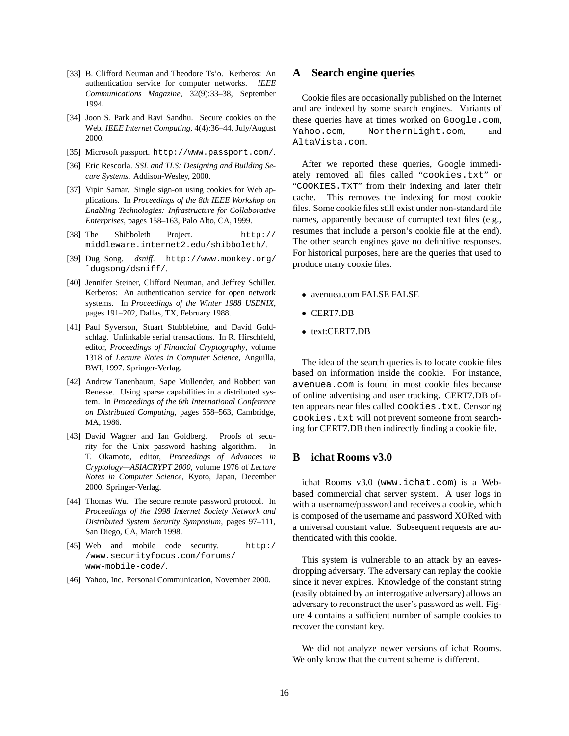- [33] B. Clifford Neuman and Theodore Ts'o. Kerberos: An authentication service for computer networks. *IEEE Communications Magazine*, 32(9):33–38, September 1994.
- [34] Joon S. Park and Ravi Sandhu. Secure cookies on the Web. *IEEE Internet Computing*, 4(4):36–44, July/August 2000.
- [35] Microsoft passport. http://www.passport.com/.
- [36] Eric Rescorla. *SSL and TLS: Designing and Building Secure Systems*. Addison-Wesley, 2000.
- [37] Vipin Samar. Single sign-on using cookies for Web applications. In *Proceedings of the 8th IEEE Workshop on Enabling Technologies: Infrastructure for Collaborative Enterprises*, pages 158–163, Palo Alto, CA, 1999.
- [38] The Shibboleth Project. http:// middleware.internet2.edu/shibboleth/.
- [39] Dug Song. *dsniff*. http://www.monkey.org/ ˜dugsong/dsniff/.
- [40] Jennifer Steiner, Clifford Neuman, and Jeffrey Schiller. Kerberos: An authentication service for open network systems. In *Proceedings of the Winter 1988 USENIX*, pages 191–202, Dallas, TX, February 1988.
- [41] Paul Syverson, Stuart Stubblebine, and David Goldschlag. Unlinkable serial transactions. In R. Hirschfeld, editor, *Proceedings of Financial Cryptography*, volume 1318 of *Lecture Notes in Computer Science*, Anguilla, BWI, 1997. Springer-Verlag.
- [42] Andrew Tanenbaum, Sape Mullender, and Robbert van Renesse. Using sparse capabilities in a distributed system. In *Proceedings of the 6th International Conference on Distributed Computing*, pages 558–563, Cambridge, MA, 1986.
- [43] David Wagner and Ian Goldberg. Proofs of security for the Unix password hashing algorithm. In T. Okamoto, editor, *Proceedings of Advances in Cryptology—ASIACRYPT 2000*, volume 1976 of *Lecture Notes in Computer Science*, Kyoto, Japan, December 2000. Springer-Verlag.
- [44] Thomas Wu. The secure remote password protocol. In *Proceedings of the 1998 Internet Society Network and Distributed System Security Symposium*, pages 97–111, San Diego, CA, March 1998.
- [45] Web and mobile code security. http:/ /www.securityfocus.com/forums/ www-mobile-code/.
- [46] Yahoo, Inc. Personal Communication, November 2000.

## **A Search engine queries**

Cookie files are occasionally published on the Internet and are indexed by some search engines. Variants of these queries have at times worked on Google.com, Yahoo.com, NorthernLight.com, and AltaVista.com.

After we reported these queries, Google immediately removed all files called "cookies.txt" or "COOKIES.TXT" from their indexing and later their cache. This removes the indexing for most cookie files. Some cookie files still exist under non-standard file names, apparently because of corrupted text files (e.g., resumes that include a person's cookie file at the end). The other search engines gave no definitive responses. For historical purposes, here are the queries that used to produce many cookie files.

- avenuea.com FALSE FALSE
- CERT7.DB
- text:CERT7.DB

The idea of the search queries is to locate cookie files based on information inside the cookie. For instance, avenuea.com is found in most cookie files because of online advertising and user tracking. CERT7.DB often appears near files called cookies.txt. Censoring cookies.txt will not prevent someone from searching for CERT7.DB then indirectly finding a cookie file.

## **B ichat Rooms v3.0**

ichat Rooms v3.0 (www.ichat.com) is a Webbased commercial chat server system. A user logs in with a username/password and receives a cookie, which is composed of the username and password XORed with a universal constant value. Subsequent requests are authenticated with this cookie.

This system is vulnerable to an attack by an eavesdropping adversary. The adversary can replay the cookie since it never expires. Knowledge of the constant string (easily obtained by an interrogative adversary) allows an adversary to reconstruct the user's password as well. Figure 4 contains a sufficient number of sample cookies to recover the constant key.

We did not analyze newer versions of ichat Rooms. We only know that the current scheme is different.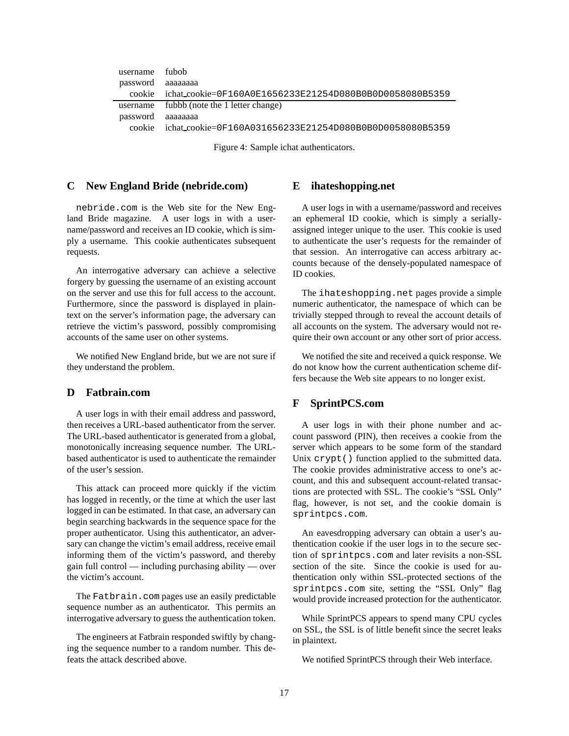| username | fubob                                                          |
|----------|----------------------------------------------------------------|
| password | аааааааа                                                       |
|          | cookie ichat_cookie=0F160A0E1656233E21254D080B0B0D0058080B5359 |
|          | username fubbb (note the 1 letter change)                      |
| password | аааааааа                                                       |
| cookie   | ichat_cookie=0F160A031656233E21254D080B0B0D0058080B5359        |
|          |                                                                |

Figure 4: Sample ichat authenticators.

### **C New England Bride (nebride.com)**

nebride.com is the Web site for the New England Bride magazine. A user logs in with a username/password and receives an ID cookie, which is simply a username. This cookie authenticates subsequent requests.

An interrogative adversary can achieve a selective forgery by guessing the username of an existing account on the server and use this for full access to the account. Furthermore, since the password is displayed in plaintext on the server's information page, the adversary can retrieve the victim's password, possibly compromising accounts of the same user on other systems.

We notified New England bride, but we are not sure if they understand the problem.

#### **D Fatbrain.com**

A user logs in with their email address and password, then receives a URL-based authenticator from the server. The URL-based authenticator is generated from a global, monotonically increasing sequence number. The URLbased authenticator is used to authenticate the remainder of the user's session.

This attack can proceed more quickly if the victim has logged in recently, or the time at which the user last logged in can be estimated. In that case, an adversary can begin searching backwards in the sequence space for the proper authenticator. Using this authenticator, an adversary can change the victim's email address, receive email informing them of the victim's password, and thereby gain full control — including purchasing ability — over the victim's account.

The Fatbrain.com pages use an easily predictable sequence number as an authenticator. This permits an interrogative adversary to guess the authentication token.

The engineers at Fatbrain responded swiftly by changing the sequence number to a random number. This defeats the attack described above.

### **E ihateshopping.net**

A user logs in with a username/password and receives an ephemeral ID cookie, which is simply a seriallyassigned integer unique to the user. This cookie is used to authenticate the user's requests for the remainder of that session. An interrogative can access arbitrary accounts because of the densely-populated namespace of ID cookies.

The ihateshopping.net pages provide a simple numeric authenticator, the namespace of which can be trivially stepped through to reveal the account details of all accounts on the system. The adversary would not require their own account or any other sort of prior access.

We notified the site and received a quick response. We do not know how the current authentication scheme differs because the Web site appears to no longer exist.

## **F SprintPCS.com**

A user logs in with their phone number and account password (PIN), then receives a cookie from the server which appears to be some form of the standard Unix crypt () function applied to the submitted data. The cookie provides administrative access to one's account, and this and subsequent account-related transactions are protected with SSL. The cookie's "SSL Only" flag, however, is not set, and the cookie domain is sprintpcs.com.

An eavesdropping adversary can obtain a user's authentication cookie if the user logs in to the secure section of sprintpcs.com and later revisits a non-SSL section of the site. Since the cookie is used for authentication only within SSL-protected sections of the sprintpcs.com site, setting the "SSL Only" flag would provide increased protection for the authenticator.

While SprintPCS appears to spend many CPU cycles on SSL, the SSL is of little benefit since the secret leaks in plaintext.

We notified SprintPCS through their Web interface.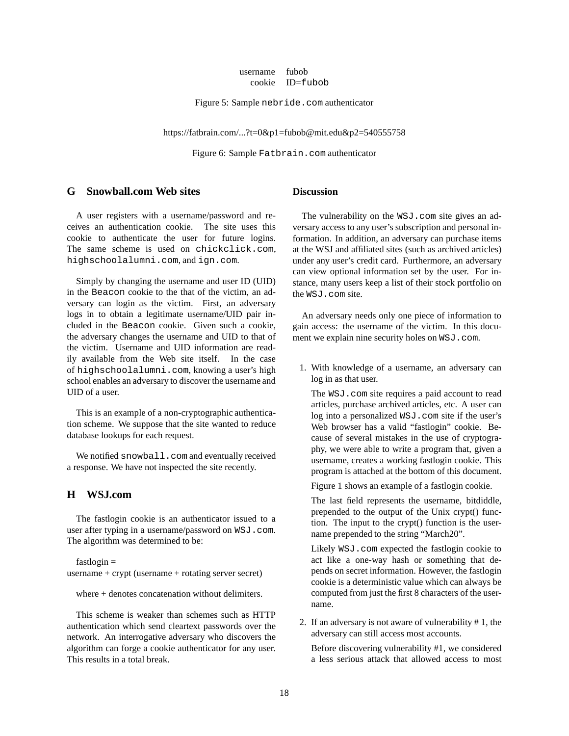## username fubob cookie ID=fubob

Figure 5: Sample nebride.com authenticator

https://fatbrain.com/...?t=0&p1=fubob@mit.edu&p2=540555758

Figure 6: Sample Fatbrain.com authenticator

## **G Snowball.com Web sites**

A user registers with a username/password and receives an authentication cookie. The site uses this cookie to authenticate the user for future logins. The same scheme is used on chickclick.com, highschoolalumni.com, and ign.com.

Simply by changing the username and user ID (UID) in the Beacon cookie to the that of the victim, an adversary can login as the victim. First, an adversary logs in to obtain a legitimate username/UID pair included in the Beacon cookie. Given such a cookie, the adversary changes the username and UID to that of the victim. Username and UID information are readily available from the Web site itself. In the case of highschoolalumni.com, knowing a user's high school enables an adversary to discover the username and UID of a user.

This is an example of a non-cryptographic authentication scheme. We suppose that the site wanted to reduce database lookups for each request.

We notified snowball.com and eventually received a response. We have not inspected the site recently.

## **H WSJ.com**

The fastlogin cookie is an authenticator issued to a user after typing in a username/password on WSJ.com. The algorithm was determined to be:

fastlogin = username + crypt (username + rotating server secret)

where + denotes concatenation without delimiters.

This scheme is weaker than schemes such as HTTP authentication which send cleartext passwords over the network. An interrogative adversary who discovers the algorithm can forge a cookie authenticator for any user. This results in a total break.

## **Discussion**

The vulnerability on the WSJ.com site gives an adversary access to any user's subscription and personal information. In addition, an adversary can purchase items at the WSJ and affiliated sites (such as archived articles) under any user's credit card. Furthermore, an adversary can view optional information set by the user. For instance, many users keep a list of their stock portfolio on the WSJ.com site.

An adversary needs only one piece of information to gain access: the username of the victim. In this document we explain nine security holes on WSJ.com.

1. With knowledge of a username, an adversary can log in as that user.

The WSJ.com site requires a paid account to read articles, purchase archived articles, etc. A user can log into a personalized WSJ.com site if the user's Web browser has a valid "fastlogin" cookie. Because of several mistakes in the use of cryptography, we were able to write a program that, given a username, creates a working fastlogin cookie. This program is attached at the bottom of this document.

Figure 1 shows an example of a fastlogin cookie.

The last field represents the username, bitdiddle, prepended to the output of the Unix crypt() function. The input to the crypt() function is the username prepended to the string "March20".

Likely WSJ.com expected the fastlogin cookie to act like a one-way hash or something that depends on secret information. However, the fastlogin cookie is a deterministic value which can always be computed from just the first 8 characters of the username.

2. If an adversary is not aware of vulnerability # 1, the adversary can still access most accounts.

Before discovering vulnerability #1, we considered a less serious attack that allowed access to most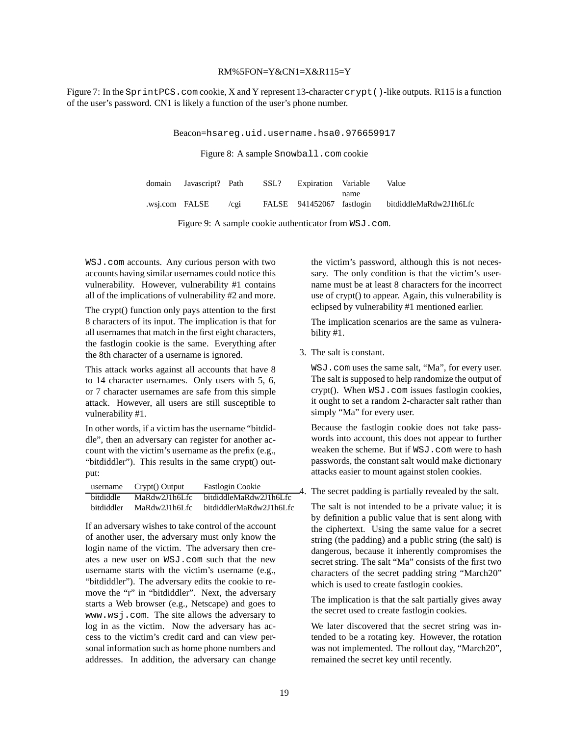## RM%5FON=Y&CN1=X&R115=Y

Figure 7: In the SprintPCS.com cookie, X and Y represent 13-character crypt()-like outputs. R115 is a function of the user's password. CN1 is likely a function of the user's phone number.

Beacon=hsareg.uid.username.hsa0.976659917

Figure 8: A sample Snowball.com cookie

|               | domain Javascript? Path |              | SSL? Expiration Variable |      | Value                                            |
|---------------|-------------------------|--------------|--------------------------|------|--------------------------------------------------|
|               |                         |              |                          | name |                                                  |
| wsj.com FALSE |                         | $\sqrt{cgi}$ |                          |      | FALSE 941452067 fastlogin bitdiddleMaRdw2J1h6Lfc |

Figure 9: A sample cookie authenticator from WSJ.com.

WSJ.com accounts. Any curious person with two accounts having similar usernames could notice this vulnerability. However, vulnerability #1 contains all of the implications of vulnerability #2 and more.

The crypt() function only pays attention to the first 8 characters of its input. The implication is that for all usernames that match in the first eight characters, the fastlogin cookie is the same. Everything after the 8th character of a username is ignored.

This attack works against all accounts that have 8 to 14 character usernames. Only users with 5, 6, or 7 character usernames are safe from this simple attack. However, all users are still susceptible to vulnerability #1.

In other words, if a victim has the username "bitdiddle", then an adversary can register for another account with the victim's username as the prefix (e.g., "bitdiddler"). This results in the same crypt() output:

| username          | Crypt() Output | <b>Fastlogin Cookie</b> |
|-------------------|----------------|-------------------------|
| <b>bitdiddle</b>  | MaRdw2J1h6Lfc  | bitdiddleMaRdw2J1h6Lfc  |
| <b>bitdiddler</b> | MaRdw2J1h6Lfc  | bitdiddlerMaRdw2J1h6Lfc |

If an adversary wishes to take control of the account of another user, the adversary must only know the login name of the victim. The adversary then creates a new user on WSJ.com such that the new username starts with the victim's username (e.g., "bitdiddler"). The adversary edits the cookie to remove the "r" in "bitdiddler". Next, the adversary starts a Web browser (e.g., Netscape) and goes to www.wsj.com. The site allows the adversary to log in as the victim. Now the adversary has access to the victim's credit card and can view personal information such as home phone numbers and addresses. In addition, the adversary can change

the victim's password, although this is not necessary. The only condition is that the victim's username must be at least 8 characters for the incorrect use of crypt() to appear. Again, this vulnerability is eclipsed by vulnerability #1 mentioned earlier.

The implication scenarios are the same as vulnerability #1.

3. The salt is constant.

WSJ.com uses the same salt, "Ma", for every user. The salt is supposed to help randomize the output of crypt(). When WSJ.com issues fastlogin cookies, it ought to set a random 2-character salt rather than simply "Ma" for every user.

Because the fastlogin cookie does not take passwords into account, this does not appear to further weaken the scheme. But if WSJ.com were to hash passwords, the constant salt would make dictionary attacks easier to mount against stolen cookies.

4. The secret padding is partially revealed by the salt.

The salt is not intended to be a private value; it is by definition a public value that is sent along with the ciphertext. Using the same value for a secret string (the padding) and a public string (the salt) is dangerous, because it inherently compromises the secret string. The salt "Ma" consists of the first two characters of the secret padding string "March20" which is used to create fastlogin cookies.

The implication is that the salt partially gives away the secret used to create fastlogin cookies.

We later discovered that the secret string was intended to be a rotating key. However, the rotation was not implemented. The rollout day, "March20", remained the secret key until recently.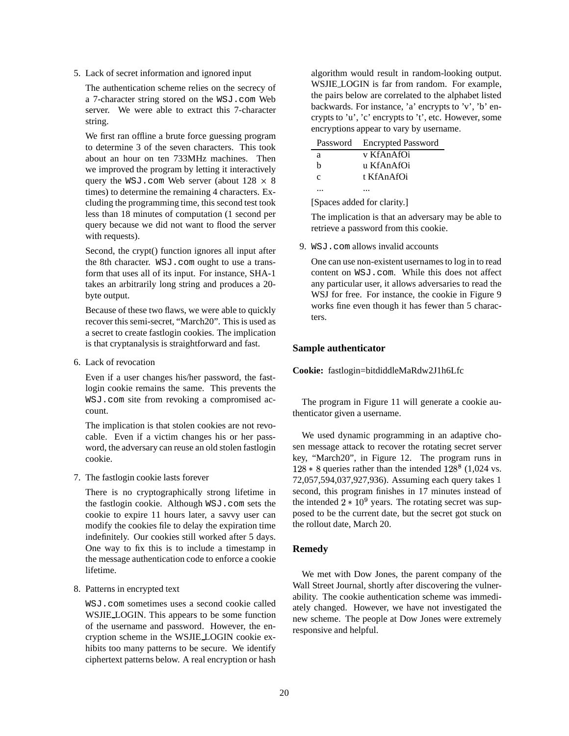5. Lack of secret information and ignored input

The authentication scheme relies on the secrecy of a 7-character string stored on the WSJ.com Web server. We were able to extract this 7-character string.

We first ran offline a brute force guessing program to determine 3 of the seven characters. This took about an hour on ten 733MHz machines. Then we improved the program by letting it interactively query the WSJ.com Web server (about  $128 \times 8$ times) to determine the remaining 4 characters. Excluding the programming time, this second test took less than 18 minutes of computation (1 second per query because we did not want to flood the server with requests).

Second, the crypt() function ignores all input after the 8th character. WSJ.com ought to use a transform that uses all of its input. For instance, SHA-1 takes an arbitrarily long string and produces a 20 byte output.

Because of these two flaws, we were able to quickly recover this semi-secret, "March20". This is used as a secret to create fastlogin cookies. The implication is that cryptanalysis is straightforward and fast.

6. Lack of revocation

Even if a user changes his/her password, the fastlogin cookie remains the same. This prevents the WSJ.com site from revoking a compromised account.

The implication is that stolen cookies are not revocable. Even if a victim changes his or her password, the adversary can reuse an old stolen fastlogin cookie.

7. The fastlogin cookie lasts forever

There is no cryptographically strong lifetime in the fastlogin cookie. Although WSJ.com sets the cookie to expire 11 hours later, a savvy user can modify the cookies file to delay the expiration time indefinitely. Our cookies still worked after 5 days. One way to fix this is to include a timestamp in the message authentication code to enforce a cookie lifetime.

8. Patterns in encrypted text

WSJ.com sometimes uses a second cookie called WSJIE LOGIN. This appears to be some function of the username and password. However, the encryption scheme in the WSJIE LOGIN cookie exhibits too many patterns to be secure. We identify ciphertext patterns below. A real encryption or hash algorithm would result in random-looking output. WSJIE LOGIN is far from random. For example, the pairs below are correlated to the alphabet listed backwards. For instance, 'a' encrypts to 'v', 'b' encrypts to 'u', 'c' encrypts to 't', etc. However, some encryptions appear to vary by username.

|               | Password Encrypted Password |
|---------------|-----------------------------|
| a             | v KfAnAfOi                  |
| h             | u KfAnAfOi                  |
| $\mathcal{C}$ | t KfAnAfOi                  |
|               |                             |

[Spaces added for clarity.]

The implication is that an adversary may be able to retrieve a password from this cookie.

9. WSJ.com allows invalid accounts

One can use non-existent usernamesto log in to read content on WSJ.com. While this does not affect any particular user, it allows adversaries to read the WSJ for free. For instance, the cookie in Figure 9 works fine even though it has fewer than 5 characters.

## **Sample authenticator**

**Cookie:** fastlogin=bitdiddleMaRdw2J1h6Lfc

The program in Figure 11 will generate a cookie authenticator given a username.

We used dynamic programming in an adaptive chosen message attack to recover the rotating secret server key, "March20", in Figure 12. The program runs in  $128 * 8$  queries rather than the intended  $128<sup>8</sup>$  (1,024 vs. 72,057,594,037,927,936). Assuming each query takes 1 second, this program finishes in 17 minutes instead of the intended  $2 * 10<sup>9</sup>$  years. The rotating secret was supposed to be the current date, but the secret got stuck on the rollout date, March 20.

#### **Remedy**

We met with Dow Jones, the parent company of the Wall Street Journal, shortly after discovering the vulnerability. The cookie authentication scheme was immediately changed. However, we have not investigated the new scheme. The people at Dow Jones were extremely responsive and helpful.